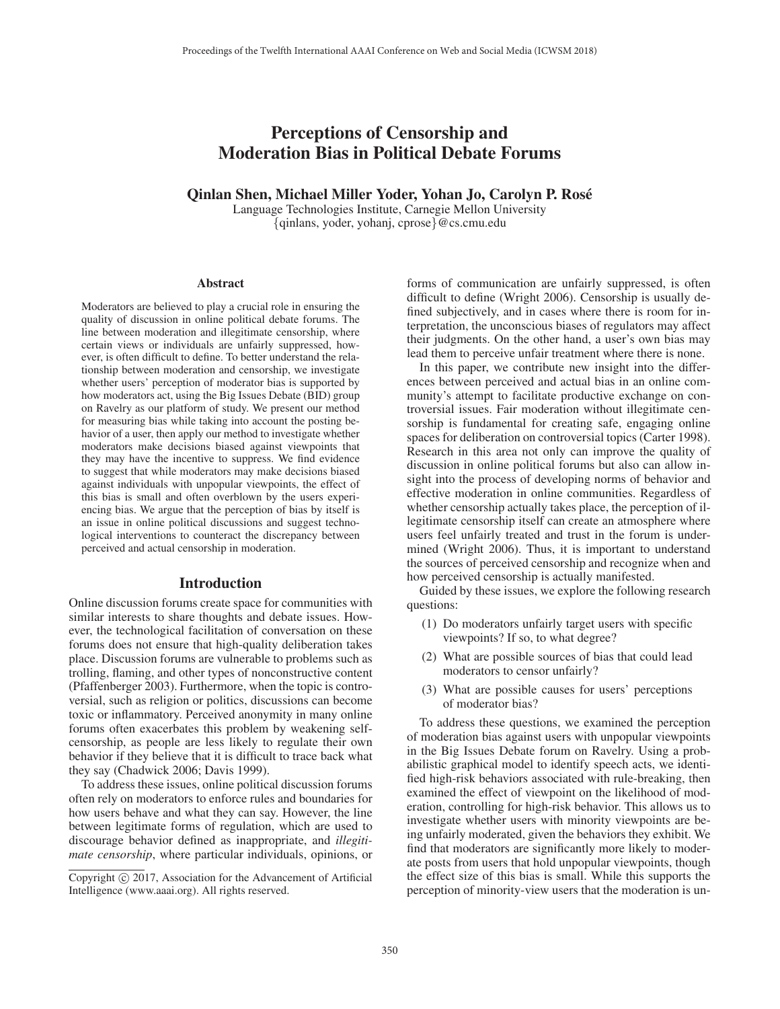# Perceptions of Censorship and Moderation Bias in Political Debate Forums

### Qinlan Shen, Michael Miller Yoder, Yohan Jo, Carolyn P. Rose´

Language Technologies Institute, Carnegie Mellon University {qinlans, yoder, yohanj, cprose}@cs.cmu.edu

#### **Abstract**

Moderators are believed to play a crucial role in ensuring the quality of discussion in online political debate forums. The line between moderation and illegitimate censorship, where certain views or individuals are unfairly suppressed, however, is often difficult to define. To better understand the relationship between moderation and censorship, we investigate whether users' perception of moderator bias is supported by how moderators act, using the Big Issues Debate (BID) group on Ravelry as our platform of study. We present our method for measuring bias while taking into account the posting behavior of a user, then apply our method to investigate whether moderators make decisions biased against viewpoints that they may have the incentive to suppress. We find evidence to suggest that while moderators may make decisions biased against individuals with unpopular viewpoints, the effect of this bias is small and often overblown by the users experiencing bias. We argue that the perception of bias by itself is an issue in online political discussions and suggest technological interventions to counteract the discrepancy between perceived and actual censorship in moderation.

### Introduction

Online discussion forums create space for communities with similar interests to share thoughts and debate issues. However, the technological facilitation of conversation on these forums does not ensure that high-quality deliberation takes place. Discussion forums are vulnerable to problems such as trolling, flaming, and other types of nonconstructive content (Pfaffenberger 2003). Furthermore, when the topic is controversial, such as religion or politics, discussions can become toxic or inflammatory. Perceived anonymity in many online forums often exacerbates this problem by weakening selfcensorship, as people are less likely to regulate their own behavior if they believe that it is difficult to trace back what they say (Chadwick 2006; Davis 1999).

To address these issues, online political discussion forums often rely on moderators to enforce rules and boundaries for how users behave and what they can say. However, the line between legitimate forms of regulation, which are used to discourage behavior defined as inappropriate, and *illegitimate censorship*, where particular individuals, opinions, or

forms of communication are unfairly suppressed, is often difficult to define (Wright 2006). Censorship is usually defined subjectively, and in cases where there is room for interpretation, the unconscious biases of regulators may affect their judgments. On the other hand, a user's own bias may lead them to perceive unfair treatment where there is none.

In this paper, we contribute new insight into the differences between perceived and actual bias in an online community's attempt to facilitate productive exchange on controversial issues. Fair moderation without illegitimate censorship is fundamental for creating safe, engaging online spaces for deliberation on controversial topics (Carter 1998). Research in this area not only can improve the quality of discussion in online political forums but also can allow insight into the process of developing norms of behavior and effective moderation in online communities. Regardless of whether censorship actually takes place, the perception of illegitimate censorship itself can create an atmosphere where users feel unfairly treated and trust in the forum is undermined (Wright 2006). Thus, it is important to understand the sources of perceived censorship and recognize when and how perceived censorship is actually manifested.

Guided by these issues, we explore the following research questions:

- (1) Do moderators unfairly target users with specific viewpoints? If so, to what degree?
- (2) What are possible sources of bias that could lead moderators to censor unfairly?
- (3) What are possible causes for users' perceptions of moderator bias?

To address these questions, we examined the perception of moderation bias against users with unpopular viewpoints in the Big Issues Debate forum on Ravelry. Using a probabilistic graphical model to identify speech acts, we identified high-risk behaviors associated with rule-breaking, then examined the effect of viewpoint on the likelihood of moderation, controlling for high-risk behavior. This allows us to investigate whether users with minority viewpoints are being unfairly moderated, given the behaviors they exhibit. We find that moderators are significantly more likely to moderate posts from users that hold unpopular viewpoints, though the effect size of this bias is small. While this supports the perception of minority-view users that the moderation is un-

Copyright  $\odot$  2017, Association for the Advancement of Artificial Intelligence (www.aaai.org). All rights reserved.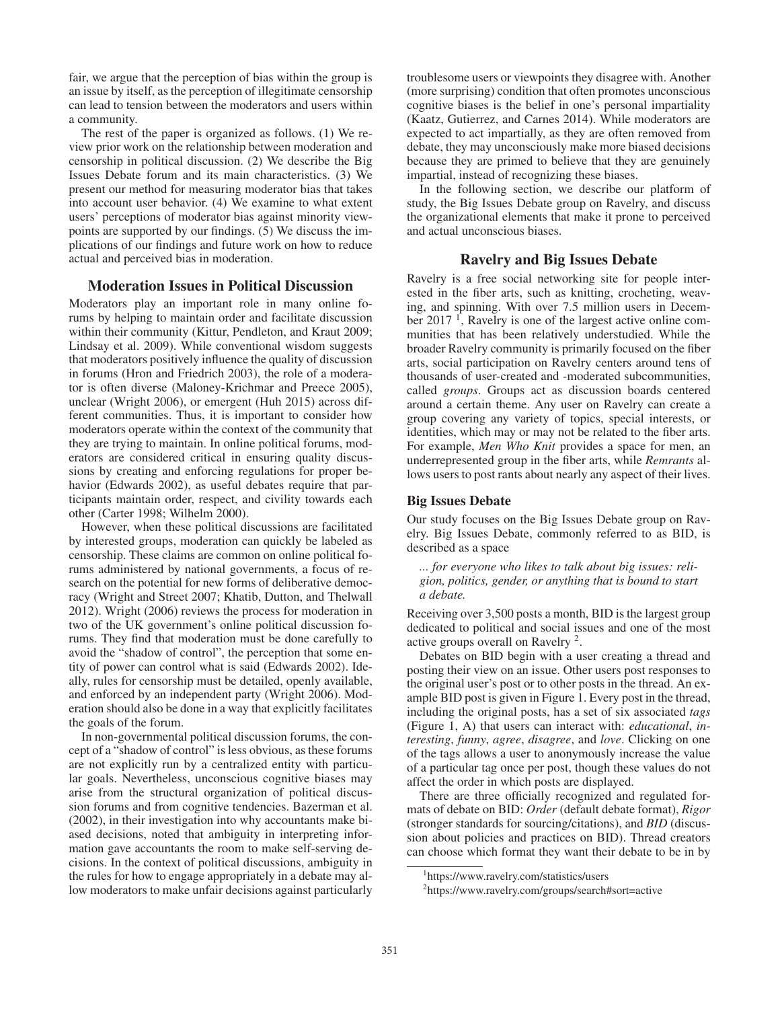fair, we argue that the perception of bias within the group is an issue by itself, as the perception of illegitimate censorship can lead to tension between the moderators and users within a community.

The rest of the paper is organized as follows. (1) We review prior work on the relationship between moderation and censorship in political discussion. (2) We describe the Big Issues Debate forum and its main characteristics. (3) We present our method for measuring moderator bias that takes into account user behavior. (4) We examine to what extent users' perceptions of moderator bias against minority viewpoints are supported by our findings. (5) We discuss the implications of our findings and future work on how to reduce actual and perceived bias in moderation.

### Moderation Issues in Political Discussion

Moderators play an important role in many online forums by helping to maintain order and facilitate discussion within their community (Kittur, Pendleton, and Kraut 2009; Lindsay et al. 2009). While conventional wisdom suggests that moderators positively influence the quality of discussion in forums (Hron and Friedrich 2003), the role of a moderator is often diverse (Maloney-Krichmar and Preece 2005), unclear (Wright 2006), or emergent (Huh 2015) across different communities. Thus, it is important to consider how moderators operate within the context of the community that they are trying to maintain. In online political forums, moderators are considered critical in ensuring quality discussions by creating and enforcing regulations for proper behavior (Edwards 2002), as useful debates require that participants maintain order, respect, and civility towards each other (Carter 1998; Wilhelm 2000).

However, when these political discussions are facilitated by interested groups, moderation can quickly be labeled as censorship. These claims are common on online political forums administered by national governments, a focus of research on the potential for new forms of deliberative democracy (Wright and Street 2007; Khatib, Dutton, and Thelwall 2012). Wright (2006) reviews the process for moderation in two of the UK government's online political discussion forums. They find that moderation must be done carefully to avoid the "shadow of control", the perception that some entity of power can control what is said (Edwards 2002). Ideally, rules for censorship must be detailed, openly available, and enforced by an independent party (Wright 2006). Moderation should also be done in a way that explicitly facilitates the goals of the forum.

In non-governmental political discussion forums, the concept of a "shadow of control" is less obvious, as these forums are not explicitly run by a centralized entity with particular goals. Nevertheless, unconscious cognitive biases may arise from the structural organization of political discussion forums and from cognitive tendencies. Bazerman et al. (2002), in their investigation into why accountants make biased decisions, noted that ambiguity in interpreting information gave accountants the room to make self-serving decisions. In the context of political discussions, ambiguity in the rules for how to engage appropriately in a debate may allow moderators to make unfair decisions against particularly

troublesome users or viewpoints they disagree with. Another (more surprising) condition that often promotes unconscious cognitive biases is the belief in one's personal impartiality (Kaatz, Gutierrez, and Carnes 2014). While moderators are expected to act impartially, as they are often removed from debate, they may unconsciously make more biased decisions because they are primed to believe that they are genuinely impartial, instead of recognizing these biases.

In the following section, we describe our platform of study, the Big Issues Debate group on Ravelry, and discuss the organizational elements that make it prone to perceived and actual unconscious biases.

# Ravelry and Big Issues Debate

Ravelry is a free social networking site for people interested in the fiber arts, such as knitting, crocheting, weaving, and spinning. With over 7.5 million users in December 2017<sup> $-1$ </sup>, Ravelry is one of the largest active online communities that has been relatively understudied. While the broader Ravelry community is primarily focused on the fiber arts, social participation on Ravelry centers around tens of thousands of user-created and -moderated subcommunities, called *groups*. Groups act as discussion boards centered around a certain theme. Any user on Ravelry can create a group covering any variety of topics, special interests, or identities, which may or may not be related to the fiber arts. For example, *Men Who Knit* provides a space for men, an underrepresented group in the fiber arts, while *Remrants* allows users to post rants about nearly any aspect of their lives.

#### Big Issues Debate

Our study focuses on the Big Issues Debate group on Ravelry. Big Issues Debate, commonly referred to as BID, is described as a space

*... for everyone who likes to talk about big issues: religion, politics, gender, or anything that is bound to start a debate.*

Receiving over 3,500 posts a month, BID is the largest group dedicated to political and social issues and one of the most active groups overall on Ravelry 2.

Debates on BID begin with a user creating a thread and posting their view on an issue. Other users post responses to the original user's post or to other posts in the thread. An example BID post is given in Figure 1. Every post in the thread, including the original posts, has a set of six associated *tags* (Figure 1, A) that users can interact with: *educational*, *interesting*, *funny*, *agree*, *disagree*, and *love*. Clicking on one of the tags allows a user to anonymously increase the value of a particular tag once per post, though these values do not affect the order in which posts are displayed.

There are three officially recognized and regulated formats of debate on BID: *Order* (default debate format), *Rigor* (stronger standards for sourcing/citations), and *BID* (discussion about policies and practices on BID). Thread creators can choose which format they want their debate to be in by

<sup>1</sup> https://www.ravelry.com/statistics/users

<sup>2</sup> https://www.ravelry.com/groups/search#sort=active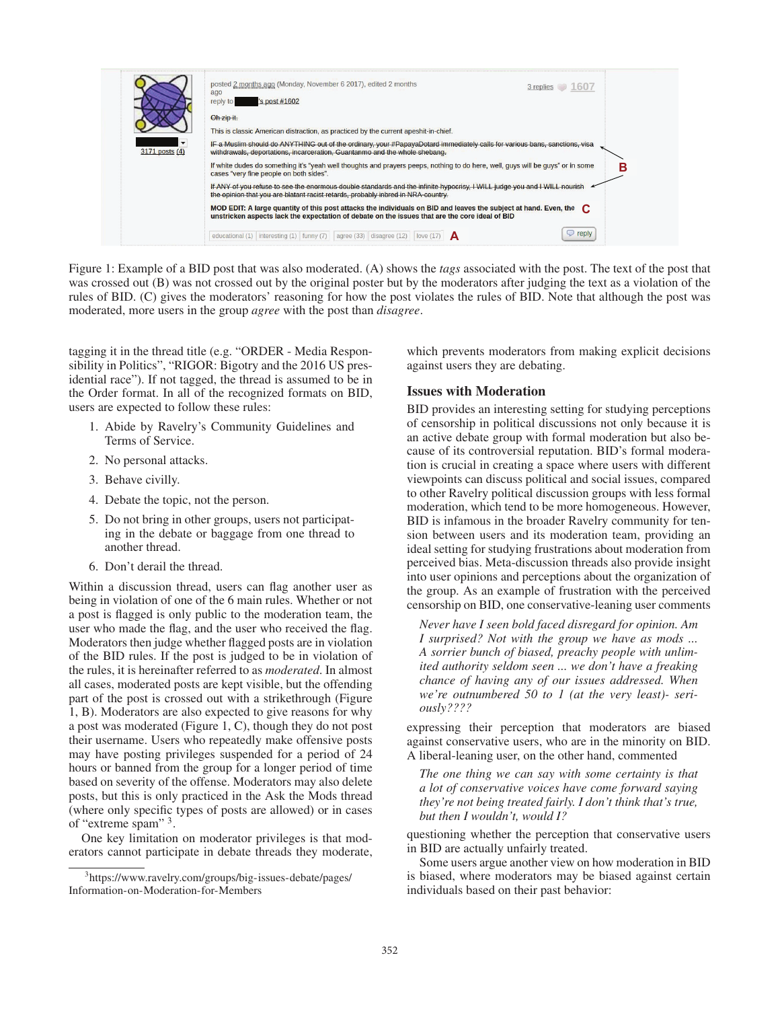

Figure 1: Example of a BID post that was also moderated. (A) shows the *tags* associated with the post. The text of the post that was crossed out (B) was not crossed out by the original poster but by the moderators after judging the text as a violation of the rules of BID. (C) gives the moderators' reasoning for how the post violates the rules of BID. Note that although the post was moderated, more users in the group *agree* with the post than *disagree*.

tagging it in the thread title (e.g. "ORDER - Media Responsibility in Politics", "RIGOR: Bigotry and the 2016 US presidential race"). If not tagged, the thread is assumed to be in the Order format. In all of the recognized formats on BID, users are expected to follow these rules:

- 1. Abide by Ravelry's Community Guidelines and Terms of Service.
- 2. No personal attacks.
- 3. Behave civilly.
- 4. Debate the topic, not the person.
- 5. Do not bring in other groups, users not participating in the debate or baggage from one thread to another thread.
- 6. Don't derail the thread.

Within a discussion thread, users can flag another user as being in violation of one of the 6 main rules. Whether or not a post is flagged is only public to the moderation team, the user who made the flag, and the user who received the flag. Moderators then judge whether flagged posts are in violation of the BID rules. If the post is judged to be in violation of the rules, it is hereinafter referred to as *moderated*. In almost all cases, moderated posts are kept visible, but the offending part of the post is crossed out with a strikethrough (Figure 1, B). Moderators are also expected to give reasons for why a post was moderated (Figure 1, C), though they do not post their username. Users who repeatedly make offensive posts may have posting privileges suspended for a period of 24 hours or banned from the group for a longer period of time based on severity of the offense. Moderators may also delete posts, but this is only practiced in the Ask the Mods thread (where only specific types of posts are allowed) or in cases of "extreme spam" 3.

One key limitation on moderator privileges is that moderators cannot participate in debate threads they moderate, which prevents moderators from making explicit decisions against users they are debating.

# Issues with Moderation

BID provides an interesting setting for studying perceptions of censorship in political discussions not only because it is an active debate group with formal moderation but also because of its controversial reputation. BID's formal moderation is crucial in creating a space where users with different viewpoints can discuss political and social issues, compared to other Ravelry political discussion groups with less formal moderation, which tend to be more homogeneous. However, BID is infamous in the broader Ravelry community for tension between users and its moderation team, providing an ideal setting for studying frustrations about moderation from perceived bias. Meta-discussion threads also provide insight into user opinions and perceptions about the organization of the group. As an example of frustration with the perceived censorship on BID, one conservative-leaning user comments

*Never have I seen bold faced disregard for opinion. Am I surprised? Not with the group we have as mods ... A sorrier bunch of biased, preachy people with unlimited authority seldom seen ... we don't have a freaking chance of having any of our issues addressed. When we're outnumbered 50 to 1 (at the very least)- seriously????*

expressing their perception that moderators are biased against conservative users, who are in the minority on BID. A liberal-leaning user, on the other hand, commented

*The one thing we can say with some certainty is that a lot of conservative voices have come forward saying they're not being treated fairly. I don't think that's true, but then I wouldn't, would I?*

questioning whether the perception that conservative users in BID are actually unfairly treated.

Some users argue another view on how moderation in BID is biased, where moderators may be biased against certain individuals based on their past behavior:

<sup>3</sup> https://www.ravelry.com/groups/big-issues-debate/pages/ Information-on-Moderation-for-Members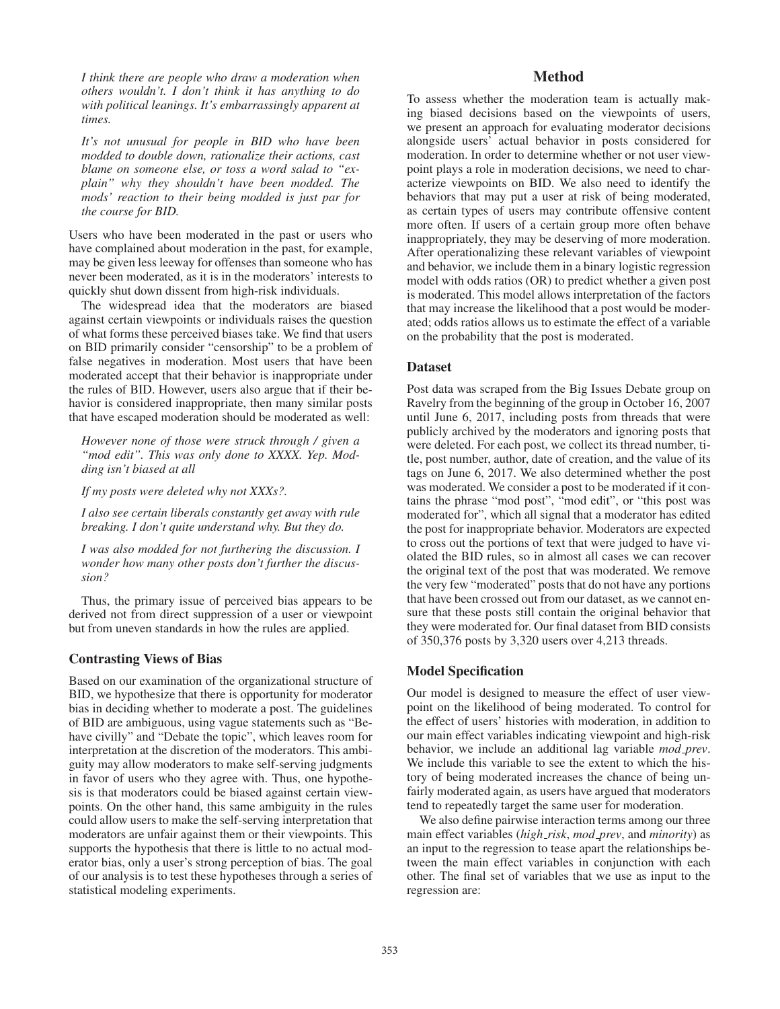*I think there are people who draw a moderation when others wouldn't. I don't think it has anything to do with political leanings. It's embarrassingly apparent at times.*

*It's not unusual for people in BID who have been modded to double down, rationalize their actions, cast blame on someone else, or toss a word salad to "explain" why they shouldn't have been modded. The mods' reaction to their being modded is just par for the course for BID.*

Users who have been moderated in the past or users who have complained about moderation in the past, for example, may be given less leeway for offenses than someone who has never been moderated, as it is in the moderators' interests to quickly shut down dissent from high-risk individuals.

The widespread idea that the moderators are biased against certain viewpoints or individuals raises the question of what forms these perceived biases take. We find that users on BID primarily consider "censorship" to be a problem of false negatives in moderation. Most users that have been moderated accept that their behavior is inappropriate under the rules of BID. However, users also argue that if their behavior is considered inappropriate, then many similar posts that have escaped moderation should be moderated as well:

*However none of those were struck through / given a "mod edit". This was only done to XXXX. Yep. Modding isn't biased at all*

*If my posts were deleted why not XXXs?.*

*I also see certain liberals constantly get away with rule breaking. I don't quite understand why. But they do.*

*I was also modded for not furthering the discussion. I wonder how many other posts don't further the discussion?*

Thus, the primary issue of perceived bias appears to be derived not from direct suppression of a user or viewpoint but from uneven standards in how the rules are applied.

# Contrasting Views of Bias

Based on our examination of the organizational structure of BID, we hypothesize that there is opportunity for moderator bias in deciding whether to moderate a post. The guidelines of BID are ambiguous, using vague statements such as "Behave civilly" and "Debate the topic", which leaves room for interpretation at the discretion of the moderators. This ambiguity may allow moderators to make self-serving judgments in favor of users who they agree with. Thus, one hypothesis is that moderators could be biased against certain viewpoints. On the other hand, this same ambiguity in the rules could allow users to make the self-serving interpretation that moderators are unfair against them or their viewpoints. This supports the hypothesis that there is little to no actual moderator bias, only a user's strong perception of bias. The goal of our analysis is to test these hypotheses through a series of statistical modeling experiments.

# Method

To assess whether the moderation team is actually making biased decisions based on the viewpoints of users, we present an approach for evaluating moderator decisions alongside users' actual behavior in posts considered for moderation. In order to determine whether or not user viewpoint plays a role in moderation decisions, we need to characterize viewpoints on BID. We also need to identify the behaviors that may put a user at risk of being moderated, as certain types of users may contribute offensive content more often. If users of a certain group more often behave inappropriately, they may be deserving of more moderation. After operationalizing these relevant variables of viewpoint and behavior, we include them in a binary logistic regression model with odds ratios (OR) to predict whether a given post is moderated. This model allows interpretation of the factors that may increase the likelihood that a post would be moderated; odds ratios allows us to estimate the effect of a variable on the probability that the post is moderated.

### **Dataset**

Post data was scraped from the Big Issues Debate group on Ravelry from the beginning of the group in October 16, 2007 until June 6, 2017, including posts from threads that were publicly archived by the moderators and ignoring posts that were deleted. For each post, we collect its thread number, title, post number, author, date of creation, and the value of its tags on June 6, 2017. We also determined whether the post was moderated. We consider a post to be moderated if it contains the phrase "mod post", "mod edit", or "this post was moderated for", which all signal that a moderator has edited the post for inappropriate behavior. Moderators are expected to cross out the portions of text that were judged to have violated the BID rules, so in almost all cases we can recover the original text of the post that was moderated. We remove the very few "moderated" posts that do not have any portions that have been crossed out from our dataset, as we cannot ensure that these posts still contain the original behavior that they were moderated for. Our final dataset from BID consists of 350,376 posts by 3,320 users over 4,213 threads.

# Model Specification

Our model is designed to measure the effect of user viewpoint on the likelihood of being moderated. To control for the effect of users' histories with moderation, in addition to our main effect variables indicating viewpoint and high-risk behavior, we include an additional lag variable *mod prev*. We include this variable to see the extent to which the history of being moderated increases the chance of being unfairly moderated again, as users have argued that moderators tend to repeatedly target the same user for moderation.

We also define pairwise interaction terms among our three main effect variables (*high risk*, *mod prev*, and *minority*) as an input to the regression to tease apart the relationships between the main effect variables in conjunction with each other. The final set of variables that we use as input to the regression are: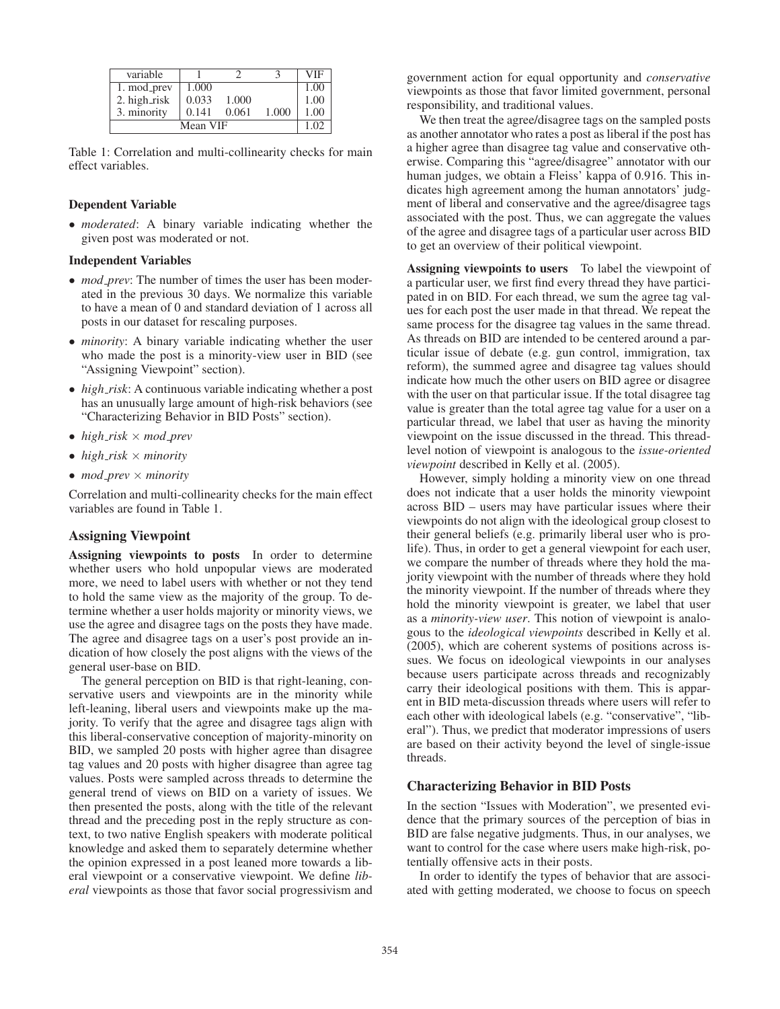| variable     |       |       |       | <b>VIF</b> |
|--------------|-------|-------|-------|------------|
| 1. mod_prev  | 1.000 |       |       | 1.00       |
| 2. high_risk | 0.033 | 1.000 |       | 1.00       |
| 3. minority  | 0.141 | 0.061 | 1.000 | 1.00       |
|              | 1.02  |       |       |            |

Table 1: Correlation and multi-collinearity checks for main effect variables.

#### Dependent Variable

• *moderated*: A binary variable indicating whether the given post was moderated or not.

### Independent Variables

- *mod\_prev*: The number of times the user has been moderated in the previous 30 days. We normalize this variable to have a mean of 0 and standard deviation of 1 across all posts in our dataset for rescaling purposes.
- *minority*: A binary variable indicating whether the user who made the post is a minority-view user in BID (see "Assigning Viewpoint" section).
- *high\_risk*: A continuous variable indicating whether a post has an unusually large amount of high-risk behaviors (see "Characterizing Behavior in BID Posts" section).
- *high risk* × *mod prev*
- $high\_risk \times minority$
- *mod prev* × *minority*

Correlation and multi-collinearity checks for the main effect variables are found in Table 1.

# Assigning Viewpoint

Assigning viewpoints to posts In order to determine whether users who hold unpopular views are moderated more, we need to label users with whether or not they tend to hold the same view as the majority of the group. To determine whether a user holds majority or minority views, we use the agree and disagree tags on the posts they have made. The agree and disagree tags on a user's post provide an indication of how closely the post aligns with the views of the general user-base on BID.

The general perception on BID is that right-leaning, conservative users and viewpoints are in the minority while left-leaning, liberal users and viewpoints make up the majority. To verify that the agree and disagree tags align with this liberal-conservative conception of majority-minority on BID, we sampled 20 posts with higher agree than disagree tag values and 20 posts with higher disagree than agree tag values. Posts were sampled across threads to determine the general trend of views on BID on a variety of issues. We then presented the posts, along with the title of the relevant thread and the preceding post in the reply structure as context, to two native English speakers with moderate political knowledge and asked them to separately determine whether the opinion expressed in a post leaned more towards a liberal viewpoint or a conservative viewpoint. We define *liberal* viewpoints as those that favor social progressivism and

government action for equal opportunity and *conservative* viewpoints as those that favor limited government, personal responsibility, and traditional values.

We then treat the agree/disagree tags on the sampled posts as another annotator who rates a post as liberal if the post has a higher agree than disagree tag value and conservative otherwise. Comparing this "agree/disagree" annotator with our human judges, we obtain a Fleiss' kappa of 0.916. This indicates high agreement among the human annotators' judgment of liberal and conservative and the agree/disagree tags associated with the post. Thus, we can aggregate the values of the agree and disagree tags of a particular user across BID to get an overview of their political viewpoint.

Assigning viewpoints to users To label the viewpoint of a particular user, we first find every thread they have participated in on BID. For each thread, we sum the agree tag values for each post the user made in that thread. We repeat the same process for the disagree tag values in the same thread. As threads on BID are intended to be centered around a particular issue of debate (e.g. gun control, immigration, tax reform), the summed agree and disagree tag values should indicate how much the other users on BID agree or disagree with the user on that particular issue. If the total disagree tag value is greater than the total agree tag value for a user on a particular thread, we label that user as having the minority viewpoint on the issue discussed in the thread. This threadlevel notion of viewpoint is analogous to the *issue-oriented viewpoint* described in Kelly et al. (2005).

However, simply holding a minority view on one thread does not indicate that a user holds the minority viewpoint across BID – users may have particular issues where their viewpoints do not align with the ideological group closest to their general beliefs (e.g. primarily liberal user who is prolife). Thus, in order to get a general viewpoint for each user, we compare the number of threads where they hold the majority viewpoint with the number of threads where they hold the minority viewpoint. If the number of threads where they hold the minority viewpoint is greater, we label that user as a *minority-view user*. This notion of viewpoint is analogous to the *ideological viewpoints* described in Kelly et al. (2005), which are coherent systems of positions across issues. We focus on ideological viewpoints in our analyses because users participate across threads and recognizably carry their ideological positions with them. This is apparent in BID meta-discussion threads where users will refer to each other with ideological labels (e.g. "conservative", "liberal"). Thus, we predict that moderator impressions of users are based on their activity beyond the level of single-issue threads.

### Characterizing Behavior in BID Posts

In the section "Issues with Moderation", we presented evidence that the primary sources of the perception of bias in BID are false negative judgments. Thus, in our analyses, we want to control for the case where users make high-risk, potentially offensive acts in their posts.

In order to identify the types of behavior that are associated with getting moderated, we choose to focus on speech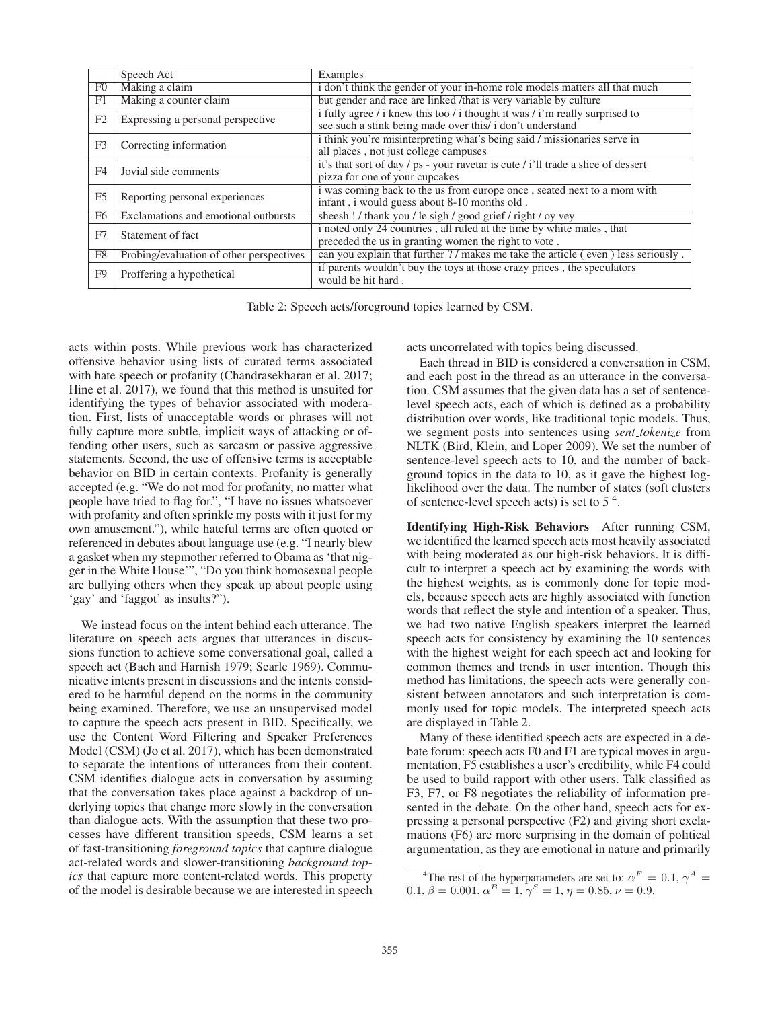|                | Speech Act                               | Examples                                                                          |  |  |
|----------------|------------------------------------------|-----------------------------------------------------------------------------------|--|--|
| F <sub>0</sub> | Making a claim                           | i don't think the gender of your in-home role models matters all that much        |  |  |
| F <sub>1</sub> | Making a counter claim                   | but gender and race are linked /that is very variable by culture                  |  |  |
| F <sub>2</sub> | Expressing a personal perspective        | i fully agree / i knew this too / i thought it was / i'm really surprised to      |  |  |
|                |                                          | see such a stink being made over this/ i don't understand                         |  |  |
| F <sub>3</sub> | Correcting information                   | i think you're misinterpreting what's being said / missionaries serve in          |  |  |
|                |                                          | all places, not just college campuses                                             |  |  |
| F4             | Jovial side comments                     | it's that sort of day / ps - your ravetar is cute / i'll trade a slice of dessert |  |  |
|                |                                          | pizza for one of your cupcakes                                                    |  |  |
| F <sub>5</sub> | Reporting personal experiences           | i was coming back to the us from europe once, seated next to a mom with           |  |  |
|                |                                          | infant, i would guess about 8-10 months old.                                      |  |  |
| F <sub>6</sub> | Exclamations and emotional outbursts     | sheesh ! / thank you / le sigh / good grief / right / oy vey                      |  |  |
| F <sub>7</sub> | Statement of fact                        | i noted only 24 countries, all ruled at the time by white males, that             |  |  |
|                |                                          | preceded the us in granting women the right to vote.                              |  |  |
| F8             | Probing/evaluation of other perspectives | can you explain that further ? / makes me take the article (even) less seriously. |  |  |
| F <sub>9</sub> | Proffering a hypothetical                | if parents wouldn't buy the toys at those crazy prices, the speculators           |  |  |
|                |                                          | would be hit hard.                                                                |  |  |

Table 2: Speech acts/foreground topics learned by CSM.

acts within posts. While previous work has characterized offensive behavior using lists of curated terms associated with hate speech or profanity (Chandrasekharan et al. 2017; Hine et al. 2017), we found that this method is unsuited for identifying the types of behavior associated with moderation. First, lists of unacceptable words or phrases will not fully capture more subtle, implicit ways of attacking or offending other users, such as sarcasm or passive aggressive statements. Second, the use of offensive terms is acceptable behavior on BID in certain contexts. Profanity is generally accepted (e.g. "We do not mod for profanity, no matter what people have tried to flag for.", "I have no issues whatsoever with profanity and often sprinkle my posts with it just for my own amusement."), while hateful terms are often quoted or referenced in debates about language use (e.g. "I nearly blew a gasket when my stepmother referred to Obama as 'that nigger in the White House'", "Do you think homosexual people are bullying others when they speak up about people using 'gay' and 'faggot' as insults?").

We instead focus on the intent behind each utterance. The literature on speech acts argues that utterances in discussions function to achieve some conversational goal, called a speech act (Bach and Harnish 1979; Searle 1969). Communicative intents present in discussions and the intents considered to be harmful depend on the norms in the community being examined. Therefore, we use an unsupervised model to capture the speech acts present in BID. Specifically, we use the Content Word Filtering and Speaker Preferences Model (CSM) (Jo et al. 2017), which has been demonstrated to separate the intentions of utterances from their content. CSM identifies dialogue acts in conversation by assuming that the conversation takes place against a backdrop of underlying topics that change more slowly in the conversation than dialogue acts. With the assumption that these two processes have different transition speeds, CSM learns a set of fast-transitioning *foreground topics* that capture dialogue act-related words and slower-transitioning *background topics* that capture more content-related words. This property of the model is desirable because we are interested in speech acts uncorrelated with topics being discussed.

Each thread in BID is considered a conversation in CSM, and each post in the thread as an utterance in the conversation. CSM assumes that the given data has a set of sentencelevel speech acts, each of which is defined as a probability distribution over words, like traditional topic models. Thus, we segment posts into sentences using *sent tokenize* from NLTK (Bird, Klein, and Loper 2009). We set the number of sentence-level speech acts to 10, and the number of background topics in the data to 10, as it gave the highest loglikelihood over the data. The number of states (soft clusters of sentence-level speech acts) is set to  $5<sup>4</sup>$ .

Identifying High-Risk Behaviors After running CSM, we identified the learned speech acts most heavily associated with being moderated as our high-risk behaviors. It is difficult to interpret a speech act by examining the words with the highest weights, as is commonly done for topic models, because speech acts are highly associated with function words that reflect the style and intention of a speaker. Thus, we had two native English speakers interpret the learned speech acts for consistency by examining the 10 sentences with the highest weight for each speech act and looking for common themes and trends in user intention. Though this method has limitations, the speech acts were generally consistent between annotators and such interpretation is commonly used for topic models. The interpreted speech acts are displayed in Table 2.

Many of these identified speech acts are expected in a debate forum: speech acts F0 and F1 are typical moves in argumentation, F5 establishes a user's credibility, while F4 could be used to build rapport with other users. Talk classified as F3, F7, or F8 negotiates the reliability of information presented in the debate. On the other hand, speech acts for expressing a personal perspective (F2) and giving short exclamations (F6) are more surprising in the domain of political argumentation, as they are emotional in nature and primarily

<sup>&</sup>lt;sup>4</sup>The rest of the hyperparameters are set to:  $\alpha^F = 0.1$ ,  $\gamma^A =$ 0.1,  $\beta = 0.001$ ,  $\alpha^B = 1$ ,  $\gamma^S = 1$ ,  $\eta = 0.85$ ,  $\nu = 0.9$ .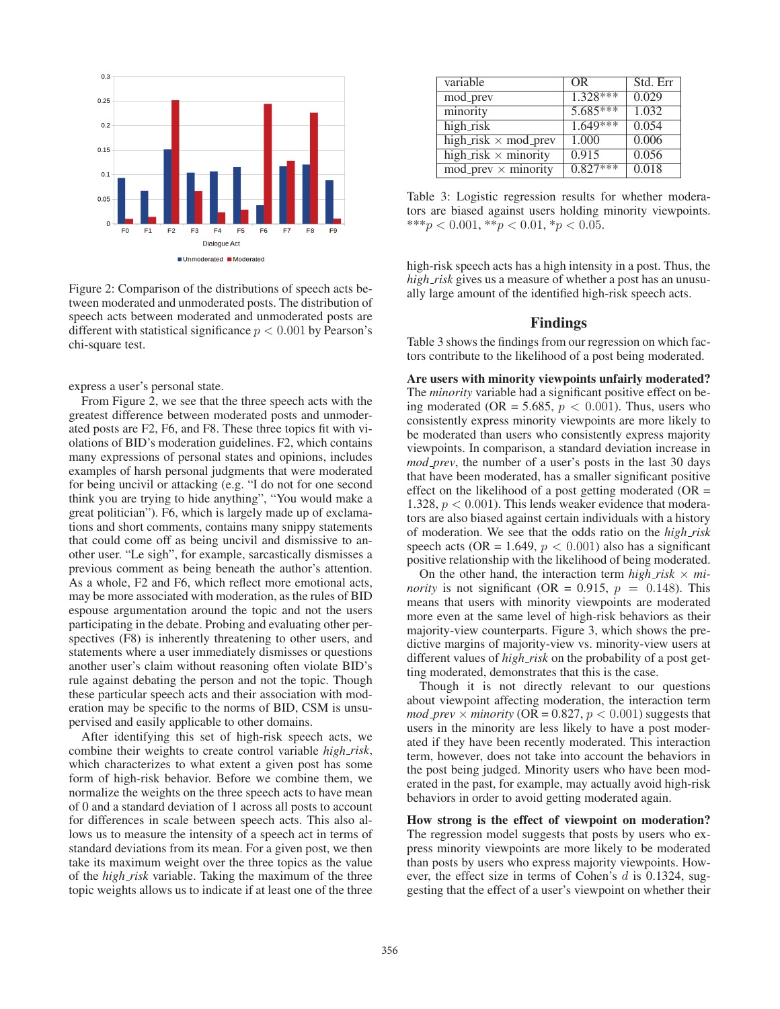

Figure 2: Comparison of the distributions of speech acts between moderated and unmoderated posts. The distribution of speech acts between moderated and unmoderated posts are different with statistical significance  $p < 0.001$  by Pearson's chi-square test.

express a user's personal state.

From Figure 2, we see that the three speech acts with the greatest difference between moderated posts and unmoderated posts are F2, F6, and F8. These three topics fit with violations of BID's moderation guidelines. F2, which contains many expressions of personal states and opinions, includes examples of harsh personal judgments that were moderated for being uncivil or attacking (e.g. "I do not for one second think you are trying to hide anything", "You would make a great politician"). F6, which is largely made up of exclamations and short comments, contains many snippy statements that could come off as being uncivil and dismissive to another user. "Le sigh", for example, sarcastically dismisses a previous comment as being beneath the author's attention. As a whole, F2 and F6, which reflect more emotional acts, may be more associated with moderation, as the rules of BID espouse argumentation around the topic and not the users participating in the debate. Probing and evaluating other perspectives (F8) is inherently threatening to other users, and statements where a user immediately dismisses or questions another user's claim without reasoning often violate BID's rule against debating the person and not the topic. Though these particular speech acts and their association with moderation may be specific to the norms of BID, CSM is unsupervised and easily applicable to other domains.

After identifying this set of high-risk speech acts, we combine their weights to create control variable *high risk*, which characterizes to what extent a given post has some form of high-risk behavior. Before we combine them, we normalize the weights on the three speech acts to have mean of 0 and a standard deviation of 1 across all posts to account for differences in scale between speech acts. This also allows us to measure the intensity of a speech act in terms of standard deviations from its mean. For a given post, we then take its maximum weight over the three topics as the value of the *high risk* variable. Taking the maximum of the three topic weights allows us to indicate if at least one of the three

| variable                                             | <b>OR</b>  | Std. Err |
|------------------------------------------------------|------------|----------|
| mod_prev                                             | $1.328***$ | 0.029    |
| minority                                             | $5.685***$ | 1.032    |
| high_risk                                            | $1.649***$ | 0.054    |
| high_risk $\times$ mod_prev                          | 1.000      | 0.006    |
| high $\overline{\text{risk}} \times \text{minority}$ | 0.915      | 0.056    |
| $mod\_prev \times minority$                          | $0.827***$ | 0.018    |

Table 3: Logistic regression results for whether moderators are biased against users holding minority viewpoints. \*\*\*p < 0.001, \*\*p < 0.01, \*p < 0.05.

high-risk speech acts has a high intensity in a post. Thus, the *high risk* gives us a measure of whether a post has an unusually large amount of the identified high-risk speech acts.

## Findings

Table 3 shows the findings from our regression on which factors contribute to the likelihood of a post being moderated.

Are users with minority viewpoints unfairly moderated? The *minority* variable had a significant positive effect on being moderated (OR = 5.685,  $p < 0.001$ ). Thus, users who consistently express minority viewpoints are more likely to be moderated than users who consistently express majority viewpoints. In comparison, a standard deviation increase in *mod prev*, the number of a user's posts in the last 30 days that have been moderated, has a smaller significant positive effect on the likelihood of a post getting moderated  $(OR =$ 1.328,  $p < 0.001$ ). This lends weaker evidence that moderators are also biased against certain individuals with a history of moderation. We see that the odds ratio on the *high risk* speech acts (OR = 1.649,  $p < 0.001$ ) also has a significant positive relationship with the likelihood of being moderated.

On the other hand, the interaction term  $high\_risk \times mi$ *nority* is not significant (OR = 0.915,  $p = 0.148$ ). This means that users with minority viewpoints are moderated more even at the same level of high-risk behaviors as their majority-view counterparts. Figure 3, which shows the predictive margins of majority-view vs. minority-view users at different values of *high risk* on the probability of a post getting moderated, demonstrates that this is the case.

Though it is not directly relevant to our questions about viewpoint affecting moderation, the interaction term  $mod\_prev \times minority$  (OR = 0.827,  $p < 0.001$ ) suggests that users in the minority are less likely to have a post moderated if they have been recently moderated. This interaction term, however, does not take into account the behaviors in the post being judged. Minority users who have been moderated in the past, for example, may actually avoid high-risk behaviors in order to avoid getting moderated again.

How strong is the effect of viewpoint on moderation? The regression model suggests that posts by users who express minority viewpoints are more likely to be moderated than posts by users who express majority viewpoints. However, the effect size in terms of Cohen's d is 0.1324, suggesting that the effect of a user's viewpoint on whether their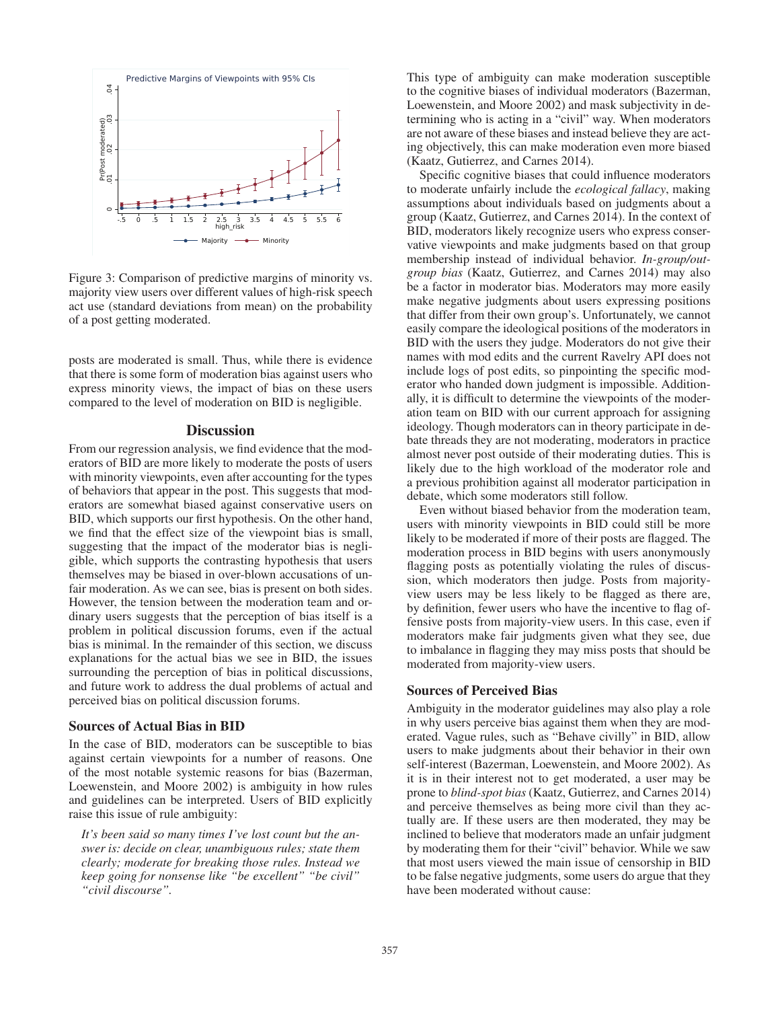

Figure 3: Comparison of predictive margins of minority vs. majority view users over different values of high-risk speech act use (standard deviations from mean) on the probability of a post getting moderated.

posts are moderated is small. Thus, while there is evidence that there is some form of moderation bias against users who express minority views, the impact of bias on these users compared to the level of moderation on BID is negligible.

### **Discussion**

From our regression analysis, we find evidence that the moderators of BID are more likely to moderate the posts of users with minority viewpoints, even after accounting for the types of behaviors that appear in the post. This suggests that moderators are somewhat biased against conservative users on BID, which supports our first hypothesis. On the other hand, we find that the effect size of the viewpoint bias is small, suggesting that the impact of the moderator bias is negligible, which supports the contrasting hypothesis that users themselves may be biased in over-blown accusations of unfair moderation. As we can see, bias is present on both sides. However, the tension between the moderation team and ordinary users suggests that the perception of bias itself is a problem in political discussion forums, even if the actual bias is minimal. In the remainder of this section, we discuss explanations for the actual bias we see in BID, the issues surrounding the perception of bias in political discussions, and future work to address the dual problems of actual and perceived bias on political discussion forums.

#### Sources of Actual Bias in BID

In the case of BID, moderators can be susceptible to bias against certain viewpoints for a number of reasons. One of the most notable systemic reasons for bias (Bazerman, Loewenstein, and Moore 2002) is ambiguity in how rules and guidelines can be interpreted. Users of BID explicitly raise this issue of rule ambiguity:

*It's been said so many times I've lost count but the answer is: decide on clear, unambiguous rules; state them clearly; moderate for breaking those rules. Instead we keep going for nonsense like "be excellent" "be civil" "civil discourse".*

This type of ambiguity can make moderation susceptible to the cognitive biases of individual moderators (Bazerman, Loewenstein, and Moore 2002) and mask subjectivity in determining who is acting in a "civil" way. When moderators are not aware of these biases and instead believe they are acting objectively, this can make moderation even more biased (Kaatz, Gutierrez, and Carnes 2014).

Specific cognitive biases that could influence moderators to moderate unfairly include the *ecological fallacy*, making assumptions about individuals based on judgments about a group (Kaatz, Gutierrez, and Carnes 2014). In the context of BID, moderators likely recognize users who express conservative viewpoints and make judgments based on that group membership instead of individual behavior. *In-group/outgroup bias* (Kaatz, Gutierrez, and Carnes 2014) may also be a factor in moderator bias. Moderators may more easily make negative judgments about users expressing positions that differ from their own group's. Unfortunately, we cannot easily compare the ideological positions of the moderators in BID with the users they judge. Moderators do not give their names with mod edits and the current Ravelry API does not include logs of post edits, so pinpointing the specific moderator who handed down judgment is impossible. Additionally, it is difficult to determine the viewpoints of the moderation team on BID with our current approach for assigning ideology. Though moderators can in theory participate in debate threads they are not moderating, moderators in practice almost never post outside of their moderating duties. This is likely due to the high workload of the moderator role and a previous prohibition against all moderator participation in debate, which some moderators still follow.

Even without biased behavior from the moderation team, users with minority viewpoints in BID could still be more likely to be moderated if more of their posts are flagged. The moderation process in BID begins with users anonymously flagging posts as potentially violating the rules of discussion, which moderators then judge. Posts from majorityview users may be less likely to be flagged as there are, by definition, fewer users who have the incentive to flag offensive posts from majority-view users. In this case, even if moderators make fair judgments given what they see, due to imbalance in flagging they may miss posts that should be moderated from majority-view users.

### Sources of Perceived Bias

Ambiguity in the moderator guidelines may also play a role in why users perceive bias against them when they are moderated. Vague rules, such as "Behave civilly" in BID, allow users to make judgments about their behavior in their own self-interest (Bazerman, Loewenstein, and Moore 2002). As it is in their interest not to get moderated, a user may be prone to *blind-spot bias* (Kaatz, Gutierrez, and Carnes 2014) and perceive themselves as being more civil than they actually are. If these users are then moderated, they may be inclined to believe that moderators made an unfair judgment by moderating them for their "civil" behavior. While we saw that most users viewed the main issue of censorship in BID to be false negative judgments, some users do argue that they have been moderated without cause: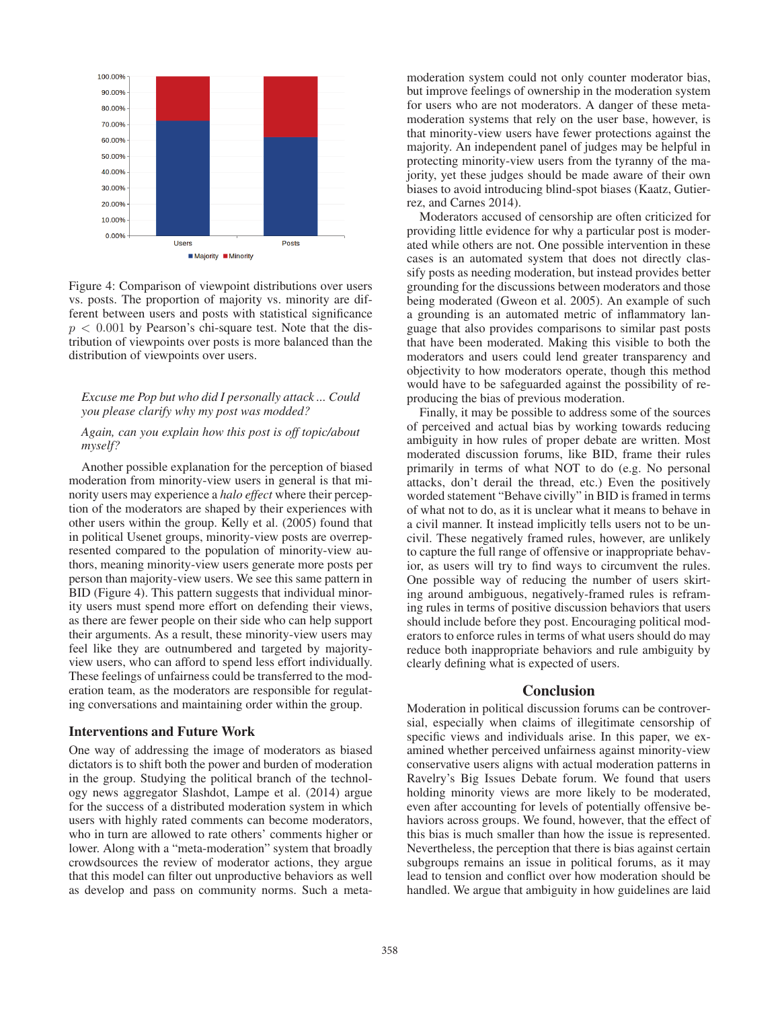

Figure 4: Comparison of viewpoint distributions over users vs. posts. The proportion of majority vs. minority are different between users and posts with statistical significance  $p < 0.001$  by Pearson's chi-square test. Note that the distribution of viewpoints over posts is more balanced than the distribution of viewpoints over users.

### *Excuse me Pop but who did I personally attack ... Could you please clarify why my post was modded?*

#### *Again, can you explain how this post is off topic/about myself?*

Another possible explanation for the perception of biased moderation from minority-view users in general is that minority users may experience a *halo effect* where their perception of the moderators are shaped by their experiences with other users within the group. Kelly et al. (2005) found that in political Usenet groups, minority-view posts are overrepresented compared to the population of minority-view authors, meaning minority-view users generate more posts per person than majority-view users. We see this same pattern in BID (Figure 4). This pattern suggests that individual minority users must spend more effort on defending their views, as there are fewer people on their side who can help support their arguments. As a result, these minority-view users may feel like they are outnumbered and targeted by majorityview users, who can afford to spend less effort individually. These feelings of unfairness could be transferred to the moderation team, as the moderators are responsible for regulating conversations and maintaining order within the group.

#### Interventions and Future Work

One way of addressing the image of moderators as biased dictators is to shift both the power and burden of moderation in the group. Studying the political branch of the technology news aggregator Slashdot, Lampe et al. (2014) argue for the success of a distributed moderation system in which users with highly rated comments can become moderators, who in turn are allowed to rate others' comments higher or lower. Along with a "meta-moderation" system that broadly crowdsources the review of moderator actions, they argue that this model can filter out unproductive behaviors as well as develop and pass on community norms. Such a meta-

moderation system could not only counter moderator bias, but improve feelings of ownership in the moderation system for users who are not moderators. A danger of these metamoderation systems that rely on the user base, however, is that minority-view users have fewer protections against the majority. An independent panel of judges may be helpful in protecting minority-view users from the tyranny of the majority, yet these judges should be made aware of their own biases to avoid introducing blind-spot biases (Kaatz, Gutierrez, and Carnes 2014).

Moderators accused of censorship are often criticized for providing little evidence for why a particular post is moderated while others are not. One possible intervention in these cases is an automated system that does not directly classify posts as needing moderation, but instead provides better grounding for the discussions between moderators and those being moderated (Gweon et al. 2005). An example of such a grounding is an automated metric of inflammatory language that also provides comparisons to similar past posts that have been moderated. Making this visible to both the moderators and users could lend greater transparency and objectivity to how moderators operate, though this method would have to be safeguarded against the possibility of reproducing the bias of previous moderation.

Finally, it may be possible to address some of the sources of perceived and actual bias by working towards reducing ambiguity in how rules of proper debate are written. Most moderated discussion forums, like BID, frame their rules primarily in terms of what NOT to do (e.g. No personal attacks, don't derail the thread, etc.) Even the positively worded statement "Behave civilly" in BID is framed in terms of what not to do, as it is unclear what it means to behave in a civil manner. It instead implicitly tells users not to be uncivil. These negatively framed rules, however, are unlikely to capture the full range of offensive or inappropriate behavior, as users will try to find ways to circumvent the rules. One possible way of reducing the number of users skirting around ambiguous, negatively-framed rules is reframing rules in terms of positive discussion behaviors that users should include before they post. Encouraging political moderators to enforce rules in terms of what users should do may reduce both inappropriate behaviors and rule ambiguity by clearly defining what is expected of users.

#### **Conclusion**

Moderation in political discussion forums can be controversial, especially when claims of illegitimate censorship of specific views and individuals arise. In this paper, we examined whether perceived unfairness against minority-view conservative users aligns with actual moderation patterns in Ravelry's Big Issues Debate forum. We found that users holding minority views are more likely to be moderated, even after accounting for levels of potentially offensive behaviors across groups. We found, however, that the effect of this bias is much smaller than how the issue is represented. Nevertheless, the perception that there is bias against certain subgroups remains an issue in political forums, as it may lead to tension and conflict over how moderation should be handled. We argue that ambiguity in how guidelines are laid